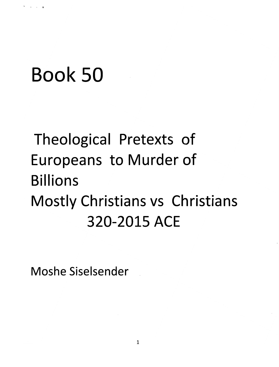## **Book 50**

### Theological Pretexts of Europeans to Murder of **Billions**  Mostly Christians vs Christians **320-2015 ACE**

**Moshe Siselsender .**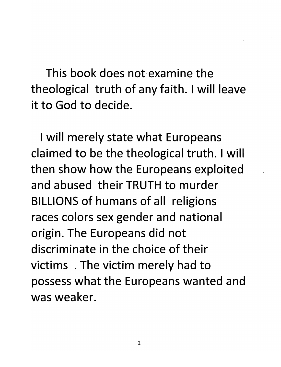This book does not examine the theological truth of any faith. I will leave it to God to decide.

I will merely state what Europeans claimed to be the theological truth. I will then show how the Europeans exploited and abused their TRUTH to murder BILLIONS of humans of all religions races colors sex gender and national origin. The Europeans did not discriminate in the choice of their victims . The victim merely had to possess what the Europeans wanted and was weaker.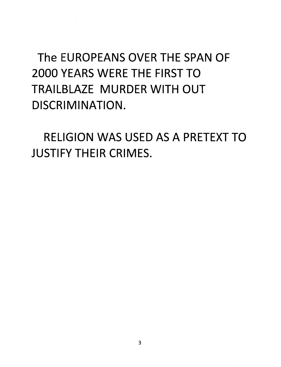The EUROPEANS OVER THE SPAN OF 2000 YEARS WERE THE FIRST TO TRAILBLAZE MURDER WITH OUT DISCRIMINATION.

RELIGION WAS USED AS A PRETEXT TO JUSTIFY THEIR CRIMES.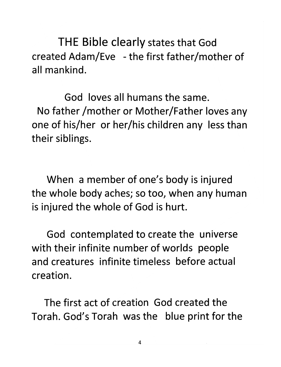THE Bible clearly states that God created Adam/Eve - the first father/mother of all mankind.

God loves all humans the same. No father /mother or Mother/Father loves any one of his/her or her/his children any less than their siblings.

When a member of one's body is injured the whole body aches; so too, when any human is injured the whole of God is hurt.

God contemplated to create the universe with their infinite number of worlds people and creatures infinite timeless before actual creation.

The first act of creation God created the Torah. God's Torah was the blue print for the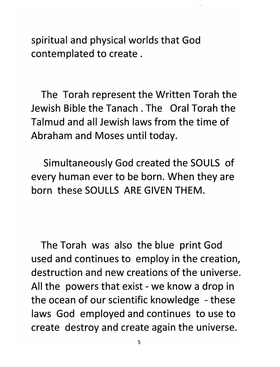spiritual and physical worlds that God contemplated to create.

The Torah represent the Written Torah the Jewish Bible the Tanach . The Oral Torah the Talmud and all Jewish laws from the time of Abraham and Moses until today.

Simultaneously God created the SOULS of every human ever to be born. When they are born these SOULLS ARE GIVEN THEM.

The Torah was also the blue print God used and continues to employ in the creation, destruction and new creations of the universe. All the powers that exist - we know a drop in the ocean of our scientific knowledge - these laws God employed and continues to use to create destroy and create again the universe.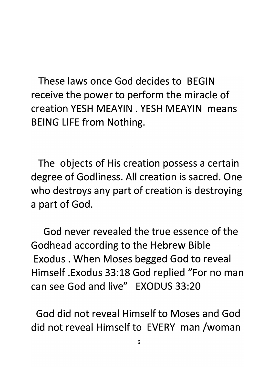These laws once God decides to BEGIN receive the power to perform the miracle of creation YESH MEAYIN, YESH MEAYIN means BEING LIFE from Nothing.

The objects of His creation possess a certain degree of Godliness. All creation is sacred. One who destroys any part of creation is destroying a part of God.

God never revealed the true essence of the Godhead according to the Hebrew Bible Exodus. When Moses begged God to reveal Himself .Exodus 33:18 God replied "For no man can see God and live" EXODUS 33:20

God did not reveal Himself to Moses and God did not reveal Himself to EVERY man /woman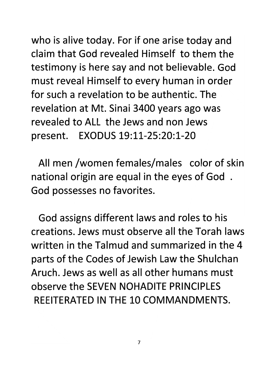who is alive today. For if one arise today and claim that God revealed Himself to them the testimony is here say and not believable. God must reveal Himself to every human in order for such a revelation to be authentic. The revelation at Mt. Sinai 3400 years ago was revealed to ALL the Jews and non Jews present. EXODUS 19:11-25:20:1-20

All men /women females/males color of skin national origin are equal in the eyes of God . God possesses no favorites.

God assigns different laws and roles to his creations. Jews must observe all the Torah laws written in the Talmud and summarized in the 4 parts of the Codes of Jewish Law the Shulchan Aruch. Jews as well as all other humans must observe the SEVEN NOHADITE PRINCIPLES REEITERATED IN THE 10 COMMANDMENTS.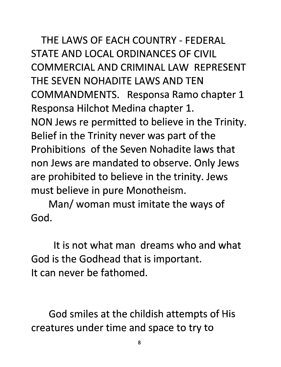THE LAWS OF EACH COUNTRY - FEDERAL STATE AND LOCAL ORDINANCES OF CIVIL COMMERCIAL AND CRIMINAL LAW REPRESENT THE SEVEN NOHADITE LAWS AND TEN COMMANDMENTS. Responsa Ramo chapter 1 Responsa Hilchot Medina chapter 1. NON Jews re permitted to believe in the Trinity. Belief in the Trinity never was part of the Prohibitions of the Seven Nohadite laws that non Jews are mandated to observe. Only Jews are prohibited to believe in the trinity. Jews must believe in pure Monotheism.

Man/ woman must imitate the ways of God.

It is not what man dreams who and what God is the Godhead that is important. It can never be fathomed.

God smiles at the childish attempts of His creatures under time and space to try to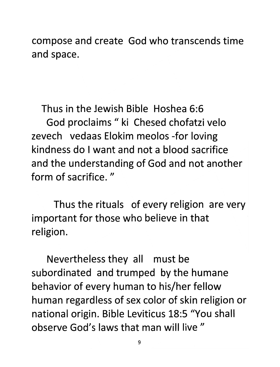compose and create God who transcends time and space.

Thus in the Jewish Bible Hoshea 6:6 God proclaims " ki Chesed chofatzi velo zevech vedaas Elokim meolos -for loving kindness do I want and not a blood sacrifice and the understanding of God and not another form of sacrifice."

Thus the rituals of every religion are very important for those who believe in that religion.

Nevertheless they all must be subordinated and trumped by the humane behavior of every human to his/her fellow human regardless of sex color of skin religion or national origin. Bible Leviticus 18:5 "You shall observe God's laws that man will live "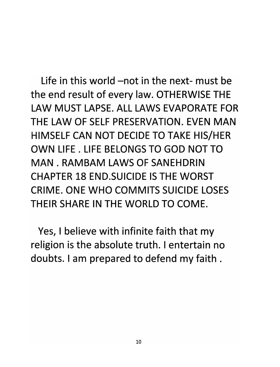Life in this world -not in the next- must be the end result of every law. OTHERWISE THE LAW MUST LAPSE. ALL LAWS EVAPORATE FOR THE LAW OF SELF PRESERVATION. EVEN MAN HIMSELF CAN NOT DECIDE TO TAKE HIS/HER OWN LIFE. LIFE BELONGS TO GOD NOT TO MAN. RAMBAM LAWS OF SANEHDRIN CHAPTER 18 END.SUICIDE IS THE WORST CRIME. ONE WHO COMMITS SUICIDE LOSES THEIR SHARE IN THE WORLD TO COME.

Yes, I believe with infinite faith that my religion is the absolute truth. I entertain no doubts. I am prepared to defend my faith.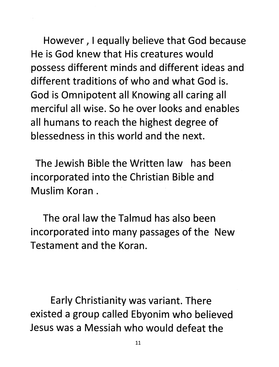However, I equally believe that God because He is God knew that His creatures would possess different minds and different ideas and different traditions of who and what God is. God is Omnipotent all Knowing all caring all merciful all wise. So he over looks and enables all humans to reach the highest degree of blessedness in this world and the next.

The Jewish Bible the Written law has been incorporated into the Christian Bible and Muslim Koran.

The oral law the Talmud has also been incorporated into many passages of the New Testament and the Koran.

Early Christianity was variant. There existed a group called Ebyonim who believed Jesus was a Messiah who would defeat the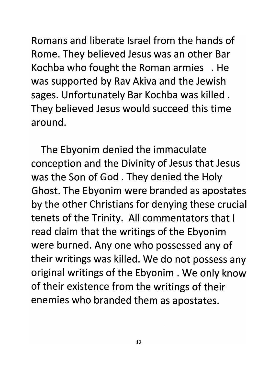Romans and liberate Israel from the hands of Rome. They believed Jesus was an other Bar Kochba who fought the Roman armies . He was supported by Rav Akiva and the Jewish sages. Unfortunately Bar Kochba was killed. They believed Jesus would succeed this time around.

The Ebyonim denied the immaculate conception and the Divinity of Jesus that Jesus was the Son of God. They denied the Holy Ghost. The Ebyonim were branded as apostates by the other Christians for denying these crucial tenets of the Trinity. All commentators that I read claim that the writings of the Ebyonim were burned. Any one who possessed any of their writings was killed. We do not possess any original writings of the Ebyonim . We only know of their existence from the writings of their enemies who branded them as apostates.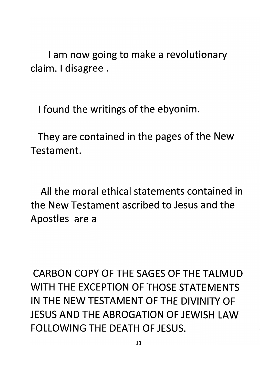I am now going to make a revolutionary claim. I disagree.

I found the writings of the ebyonim.

They are contained in the pages of the New Testament.

All the moral ethical statements contained in the New Testament ascribed to Jesus and the Apostles are a

CARBON COpy OF THE SAGES OF THE TALMUD WITH THE EXCEPTION OF THOSE STATEMENTS IN THE NEW TESTAMENT OF THE DIVINITY OF JESUS AND THE ABROGATION OF JEWISH LAW FOLLOWING THE DEATH OF JESUS.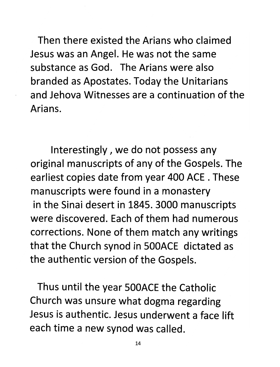Then there existed the Arians who claimed Jesus was an Angel. He was not the same substance as God. The Arians were also branded as Apostates. Today the Unitarians and Jehova Witnesses are a continuation of the Arians.

Interestingly, we do not possess any original manuscripts of any of the Gospels. The earliest copies date from year 400 ACE. These manuscripts were found in a monastery in the Sinai desert in 1845. 3000 manuscripts were discovered. Each of them had numerous corrections. None of them match any writings that the Church synod in 500ACE dictated as the authentic version of the Gospels.

Thus until the year 500ACE the Catholic Church was unsure what dogma regarding Jesus is authentic. Jesus underwent a face lift each time a new synod was called.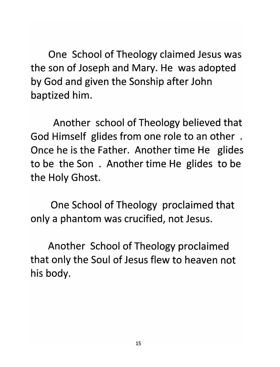One School of Theology claimed Jesus was the son of Joseph and Mary. He was adopted by God and given the Sonship after John baptized him.

Another school of Theology believed that God Himself glides from one role to an other . Once he is the Father. Another time He glides to be the Son . Another time He glides to be the Holy Ghost.

One School of Theology proclaimed that only a phantom was crucified, not Jesus.

Another School of Theology proclaimed that only the Soul of Jesus flew to heaven not his body.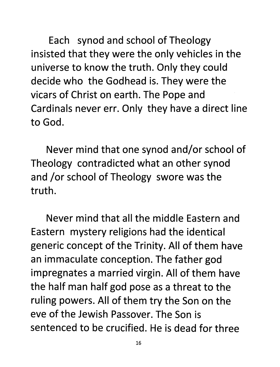Each synod and school of Theology insisted that they were the only vehicles in the universe to know the truth. Only they could decide who the Godhead is. They were the vicars of Christ on earth. The Pope and Cardinals never err. Only they have a direct line to God.

Never mind that one synod and/or school of Theology contradicted what an other synod and /or school of Theology swore was the truth.

Never mind that all the middle Eastern and Eastern mystery religions had the identical generic concept of the Trinity. All of them have an immaculate conception. The father god impregnates a married virgin. All of them have the half man half god pose as a threat to the ruling powers. All of them try the Son on the eve of the Jewish Passover. The Son is sentenced to be crucified. He is dead for three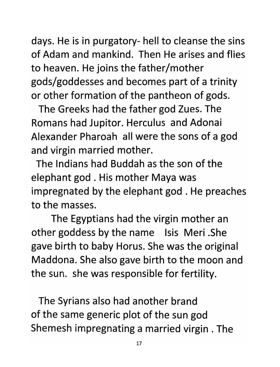days. He is in purgatory- hell to cleanse the sins of Adam and mankind. Then He arises and flies to heaven. He joins the father/mother gods/goddesses and becomes part of a trinity or other formation of the pantheon of gods.

The Greeks had the father god Zues. The Romans had Jupitor. Herculus and Adonai Alexander Pharoah all were the sons of a god and virgin married mother.

The Indians had Buddah as the son of the elephant god. His mother Maya was impregnated by the elephant god. He preaches to the masses.

The Egyptians had the virgin mother an other goddess by the name Isis Meri .She gave birth to baby Horus. She was the original Maddona. She also gave birth to the moon and the sun. she was responsible for fertility.

The Syrians also had another brand of the same generic plot of the sun god Shemesh impregnating a married virgin. The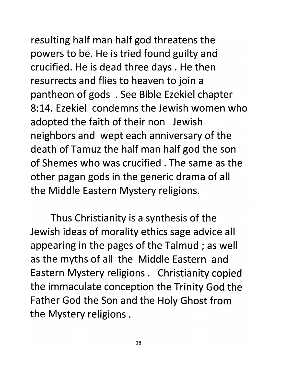# resulting half man half god threatens the

powers to be. He is tried found guilty and crucified. He is dead three days. He then resurrects and flies to heaven to join a pantheon of gods . See Bible Ezekiel chapter 8:14. Ezekiel condemns the Jewish women who adopted the faith of their non Jewish neighbors and wept each anniversary of the death of Tamuz the half man half god the son of Shemes who was crucified. The same as the other pagan gods in the generic drama of all the Middle Eastern Mystery religions.

Thus Christianity is a synthesis of the Jewish ideas of morality ethics sage advice all appearing in the pages of the Talmud; as well as the myths of all the Middle Eastern and Eastern Mystery religions. Christianity copied the immaculate conception the Trinity God the Father God the Son and the Holy Ghost from the Mystery religions.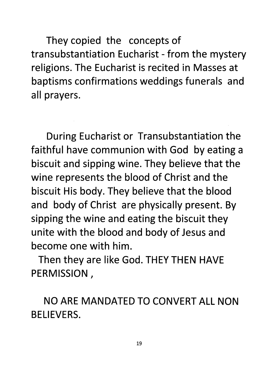They copied the concepts of transubstantiation Eucharist - from the mystery religions. The Eucharist is recited in Masses at baptisms confirmations weddings funerals and all prayers.

During Eucharist or Transubstantiation the faithful have communion with God by eating a biscuit and sipping wine. They believe that the wine represents the blood of Christ and the biscuit His body. They believe that the blood and body of Christ are physically present. By sipping the wine and eating the biscuit they unite with the blood and body of Jesus and become one with him.

Then they are like God. THEY THEN HAVE PERMISSION,

NO ARE MANDATED TO CONVERT ALL NON BELIEVERS.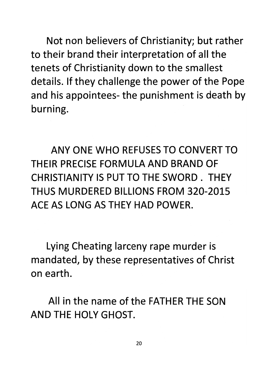Not non believers of Christianity; but rather to their brand their interpretation of all the tenets of Christianity down to the smallest details. If they challenge the power of the Pope and his appointees- the punishment is death by burning.

ANY ONE WHO REFUSES TO CONVERT TO THEIR PRECISE FORMULA AND BRAND OF CHRISTIANITY IS PUT TO THE SWORD. THEY THUS MURDERED BILLIONS FROM 320-2015 ACE AS LONG AS THEY HAD POWER.

Lying Cheating larceny rape murder is mandated, by these representatives of Christ on earth.

All in the name of the FATHER THE SON AND THE HOLY GHOST.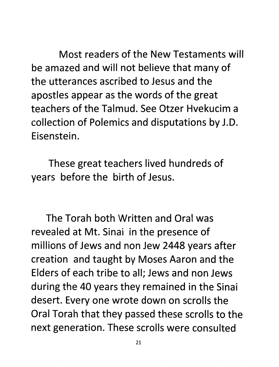Most readers of the New Testaments will be amazed and will not believe that many of the utterances ascribed to Jesus and the apostles appear as the words of the great teachers of the Talmud. See Otzer Hvekucim a collection of Polemics and disputations by J.D. Eisenstein.

These great teachers lived hundreds of years before the birth of Jesus.

The Torah both Written and Oral was revealed at Mt. Sinai in the presence of millions of Jews and non Jew 2448 years after creation and taught by Moses Aaron and the Elders of each tribe to all; Jews and non Jews during the 40 years they remained in the Sinai desert. Every one wrote down on scrolls the Oral Torah that they passed these scrolls to the next generation. These scrolls were consulted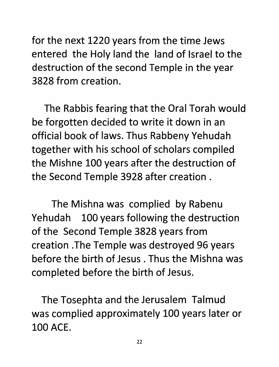for the next 1220 years from the time Jews entered the Holy land the land of Israel to the destruction of the second Temple in the year 3828 from creation.

The Rabbis fearing that the Oral Torah would be forgotten decided to write it down in an official book of laws. Thus Rabbeny Yehudah together with his school of scholars compiled the Mishne 100 years after the destruction of the Second Temple 3928 after creation.

The Mishna was complied by Rabenu Yehudah 100 years following the destruction of the Second Temple 3828 years from creation .The Temple was destroyed 96 years before the birth of Jesus. Thus the Mishna was completed before the birth of Jesus.

The Tosephta and the Jerusalem Talmud was complied approximately 100 years later or 100 ACE.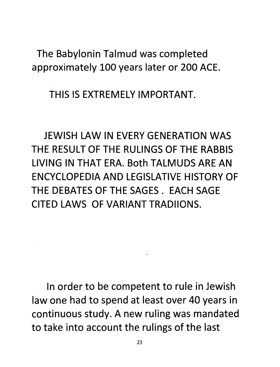The Babylonin Talmud was completed approximately 100 years later or 200 ACE.

THIS IS EXTREMELY IMPORTANT.

JEWISH LAW IN EVERY GENERATION WAS THE RESULT OF THE RULINGS OF THE RABBIS LIVING IN THAT ERA. Both TALMUDS ARE AN ENCYCLOPEDIA AND LEGISLATIVE HISTORY OF THE DEBATES OF THE SAGES. EACH SAGE CITED LAWS OF VARIANT TRADIIONS.

In order to be competent to rule in Jewish law one had to spend at least over 40 years in continuous study. A new ruling was mandated to take into account the rulings of the last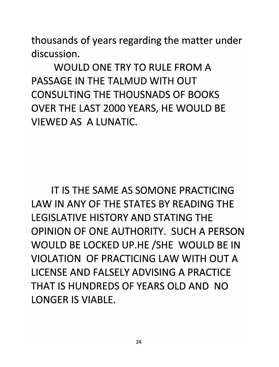thousands of years regarding the matter under discussion.

WOULD ONE TRY TO RULE FROM A PASSAGE IN THE TALMUD WITH OUT CONSULTING THE THOUSNADS OF BOOKS· OVER THE LAST 2000 YEARS, HE WOULD BE VIEWED AS A LUNATIC.

IT IS THE SAME AS SOMONE PRACTICING LAW IN ANY OF THE STATES BY READING THE LEGISLATIVE HISTORY AND STATING THE OPINION OF ONE AUTHORITY. SUCH A PERSON WOULD BE LOCKED UP.HE /SHE WOULD BE IN VIOLATION OF PRACTICING LAW WITH OUT A LICENSE AND FALSELY ADVISING A PRACTICE THAT IS HUNDREDS OF YEARS OLD AND NO LONGER IS VIABLE.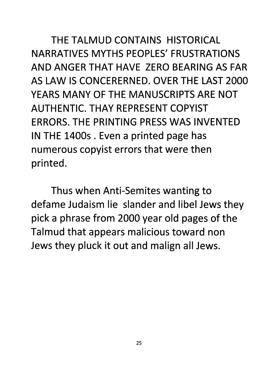THE TALMUD CONTAINS HISTORICAL NARRATIVES MYTHS PEOPLES' FRUSTRATIONS AND ANGER THAT HAVE ZERO BEARING AS FAR AS LAW IS CONCERERNED. OVER THE LAST 2000 YEARS MANY OF THE MANUSCRIPTS ARE NOT AUTHENTIC. THAY REPRESENT COPYIST ERRORS. THE PRINTING PRESS WAS INVENTED IN THE 1400s . Even a printed page has numerous copyist errors that were then printed.

Thus when Anti-Semites wanting to defame Judaism lie slander and libel Jews they pick a phrase from 2000 year old pages of the Talmud that appears malicious toward non Jews they pluck it out and malign all Jews.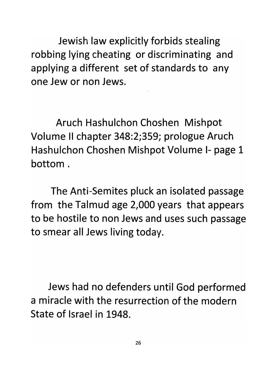Jewish law explicitly forbids stealing robbing lying cheating or discriminating and applying a different set of standards to any one Jew or non Jews.

Aruch Hashulchon Choshen Mishpot Volume II chapter 348:2;359; prologue Aruch Hashulchon Choshen Mishpot Volume 1- page 1 bottom.

The Anti-Semites pluck an isolated passage from the Talmud age 2,000 years that appears to be hostile to non Jews and uses such passage to smear all Jews living today.

Jews had no defenders until God performed a miracle with the resurrection of the modern State of Israel in 1948.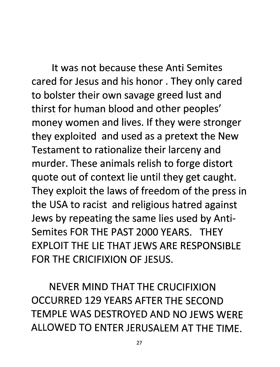It was not because these Anti Semites cared for Jesus and his honor. They only cared to bolster their own savage greed lust and thirst for human blood and other peoples' money women and lives. If they were stronger they exploited and used as a pretext the New Testament to rationalize their larceny and murder. These animals relish to forge distort quote out of context lie until they get caught. They exploit the laws of freedom of the press in the USA to racist and religious hatred against Jews by repeating the same lies used by Anti-Semites FOR THE PAST 2000 YEARS. THEY EXPLOIT THE LIE THAT JEWS ARE RESPONSIBLE FOR THE CRICIFIXION OF JESUS.

NEVER MIND THAT THE CRUCIFIXION OCCURRED 129 YEARS AFTER THE SECOND TEMPLE WAS DESTROYED AND NO JEWS WERE ALLOWED TO ENTER JERUSALEM AT THE TIME.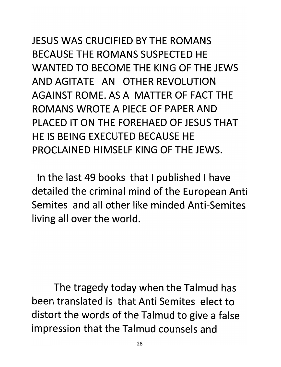### JESUS WAS CRUCIFIED BY THE ROMANS BECAUSE THE ROMANS SUSPECTED HE WANTED TO BECOME THE KING OF THE JEWS AND AGITATE AN OTHER REVOLUTION AGAINST ROME. AS A MATTER OF FACT THE ROMANS WROTE A PIECE OF PAPER AND PLACED IT ON THE FOREHAED OF JESUS THAT HE IS BEING EXECUTED BECAUSE HE PROCLAINED HIMSELF KING OF THE JEWS.

In the last 49 books that I published I have detailed the criminal mind of the European Anti Semites and all other like minded Anti-Semites living all over the world.

The tragedy today when the Talmud has been translated is that Anti Semites elect to distort the words of the Talmud to give a false impression that the Talmud counsels and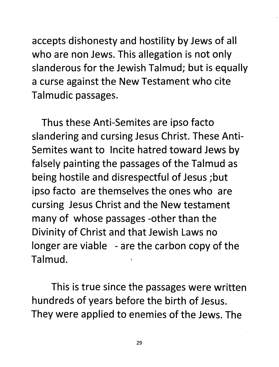accepts dishonesty and hostility by Jews of all who are non Jews. This allegation is not only slanderous for the Jewish Talmud; but is equally a curse against the New Testament who cite Talmudic passages.

Thus these Anti-Semites are ipso facto slandering and cursing Jesus Christ. These Anti-Semites want to Incite hatred toward Jews by falsely painting the passages of the Talmud as being hostile and disrespectful of Jesus ;but ipso facto are themselves the ones who are cursing Jesus Christ and the New testament many of whose passages -other than the Divinity of Christ and that Jewish Laws no longer are viable - are the carbon copy of the Talmud.

This is true since the passages were written hundreds of years before the birth of Jesus. They were applied to enemies of the Jews. The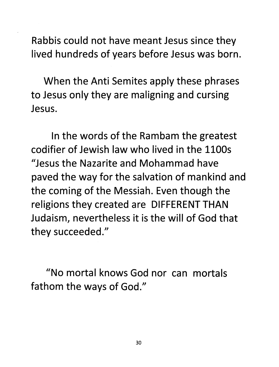Rabbis could not have meant Jesus since they lived hundreds of years before Jesus was born.

When the Anti Semites apply these phrases to Jesus only they are maligning and cursing Jesus.

In the words of the Rambam the greatest codifier of Jewish law who lived in the 1100s "Jesus the Nazarite and Mohammad have paved the way for the salvation of mankind and the coming of the Messiah. Even though the religions they created are DIFFERENT THAN Judaism, nevertheless it is the will of God that they succeeded."

"No mortal knows God nor can mortals fathom the ways of God."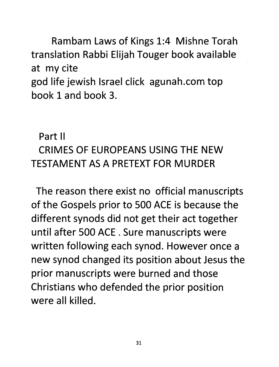Rambam Laws of Kings 1:4 Mishne Torah translation Rabbi Elijah Touger book available at my cite god life jewish Israel click agunah.com top book 1 and book 3.

Part II

### CRIMES OF EUROPEANS USING THE NEW TESTAMENT AS A PRETEXT FOR MURDER

The reason there exist no official manuscripts of the Gospels prior to 500 ACE is because the different synods did not get their act together until after 500 ACE. Sure manuscripts were written following each synod. However once a new synod changed its position about Jesus the prior manuscripts were burned and those Christians who defended the prior position were all killed.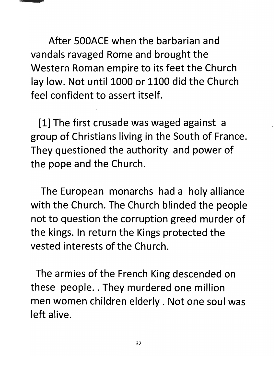

After SOOACE when the barbarian and vandals ravaged Rome and brought the Western Roman empire to its feet the Church lay low. Not until 1000 or 1100 did the Church feel confident to assert itself.

[1] The first crusade was waged against a group of Christians living in the South of France. They questioned the authority and power of the pope and the Church.

The European monarchs had a holy alliance with the Church. The Church blinded the people not to question the corruption greed murder of the kings. In return the Kings protected the vested interests of the Church.

The armies of the French King descended on these people.. They murdered one million men women children elderly. Not one soul was left alive.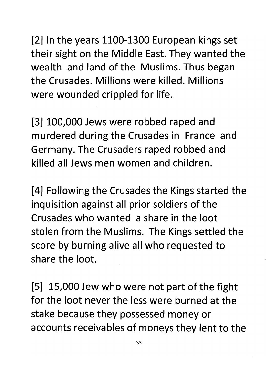[2] In the years 1100-1300 European kings set their sight on the Middle East. They wanted the wealth and land of the Muslims. Thus began the Crusades. Millions were killed. Millions were wounded crippled for life.

[3] 100,000 Jews were robbed raped and murdered during the Crusades in France and Germany. The Crusaders raped robbed and killed all Jews men women and children.

[4] Following the Crusades the Kings started the inquisition against all prior soldiers of the Crusades who wanted a share in the loot stolen from the Muslims. The Kings settled the score by burning alive all who requested to share the loot.

[5] 15,000 Jew who were not part of the fight for the loot never the less were burned at the stake because they possessed money or accounts receivables of moneys they lent to the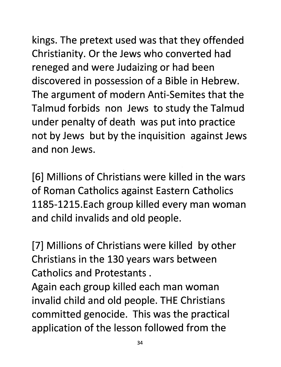kings. The pretext used was that they offended Christianity. Or the Jews who converted had reneged and were Judaizing or had been discovered in possession of a Bible in Hebrew. The argument of modern Anti-Semites that the Talmud forbids non Jews to study the Talmud under penalty of death was put into practice not by Jews but by the inquisition against Jews and non Jews.

[6] Millions of Christians were killed in the wars of Roman Catholics against Eastern Catholics 1185-1215.Each group killed every man woman and child invalids and old people.

[7] Millions of Christians were killed by other Christians in the 130 years wars between Catholics and Protestants.

Again each group killed each man woman invalid child and old people. THE Christians committed genocide. This was the practical application of the lesson followed from the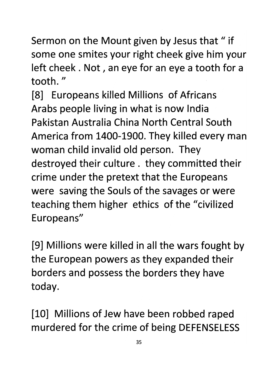Sermon on the Mount given by Jesus that " if some one smites your right cheek give him your left cheek. Not, an eye for an eye a tooth for a tooth. "

[8] Europeans killed Millions of Africans Arabs people living in what is now India Pakistan Australia China North Central South America from 1400-1900. They killed every man woman child invalid old person. They destroyed their culture. they committed their crime under the pretext that the Europeans were saving the Souls of the savages or were teaching them higher ethics of the "civilized Europeans"

[9] Millions were killed in all the wars fought by the European powers as they expanded their borders and possess the borders they have today.

[10] Millions of Jew have been robbed raped murdered for the crime of being DEFENSELESS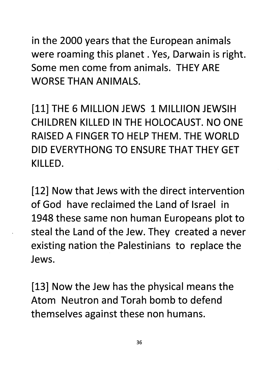in the 2000 years that the European animals were roaming this planet. Yes, Darwain is right. Some men come from animals. THEY ARE WORSE THAN ANIMALS.

[11] THE 6 MILLION JEWS 1 MILLIION JEWSIH CHILDREN KILLED IN THE HOLOCAUST. NO ONE RAISED A FINGER TO HELP THEM. THE WORLD DID EVERYTHONGTO ENSURE THAT THEY GET KILLED.

[12] Now that Jews with the direct intervention of God have reclaimed the Land of Israel in 1948 these same non human Europeans plot to steal the Land of the Jew. They created a never existing nation the Palestinians to replace the Jews.

[13] Now the Jew has the physical means the Atom Neutron and Torah bomb to defend themselves against these non humans.